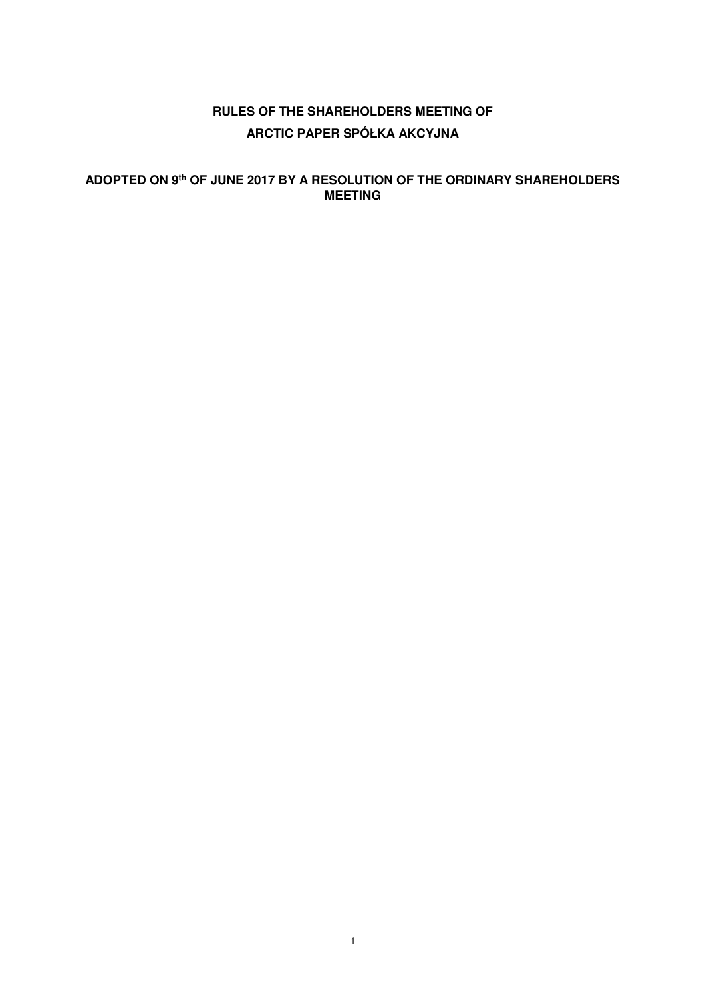# **RULES OF THE SHAREHOLDERS MEETING OF ARCTIC PAPER SPÓŁKA AKCYJNA**

## **ADOPTED ON 9th OF JUNE 2017 BY A RESOLUTION OF THE ORDINARY SHAREHOLDERS MEETING**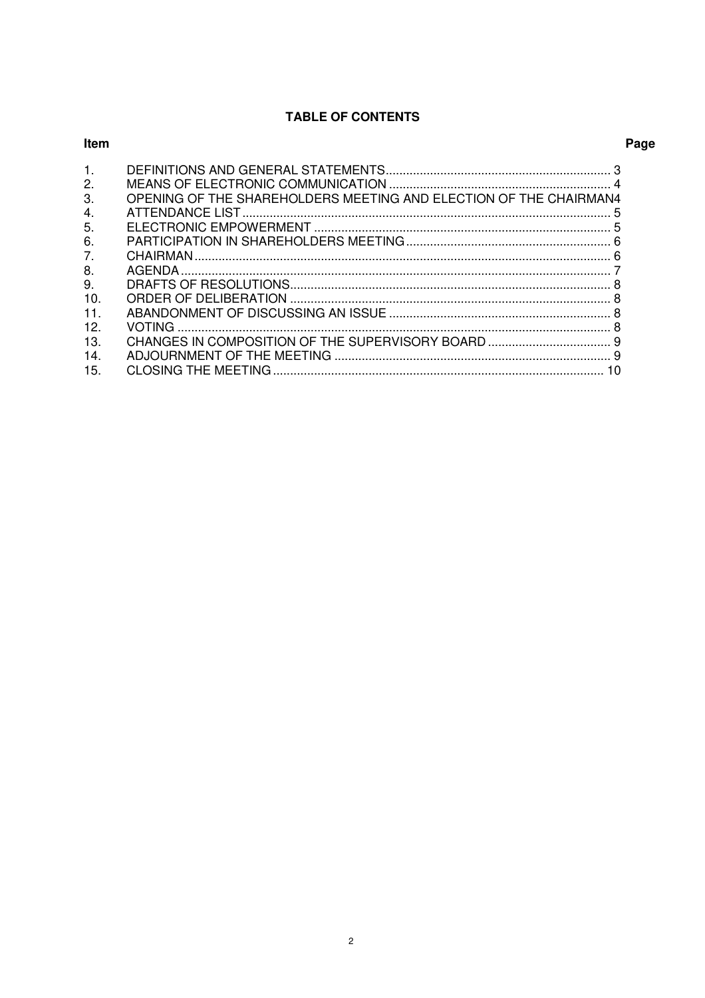## **TABLE OF CONTENTS**

| <b>Item</b> |                                                                   | Page |
|-------------|-------------------------------------------------------------------|------|
| 1.          |                                                                   |      |
| 2.          |                                                                   |      |
| 3.          | OPENING OF THE SHAREHOLDERS MEETING AND ELECTION OF THE CHAIRMAN4 |      |
| 4.          |                                                                   |      |
| 5.          |                                                                   |      |
| 6.          |                                                                   |      |
| 7.          |                                                                   |      |
| 8.          |                                                                   |      |
| 9.          |                                                                   |      |
| 10.         |                                                                   |      |
| 11.         |                                                                   |      |
| 12.         |                                                                   |      |
| 13.         |                                                                   |      |
| 14.         |                                                                   |      |
| 15.         |                                                                   |      |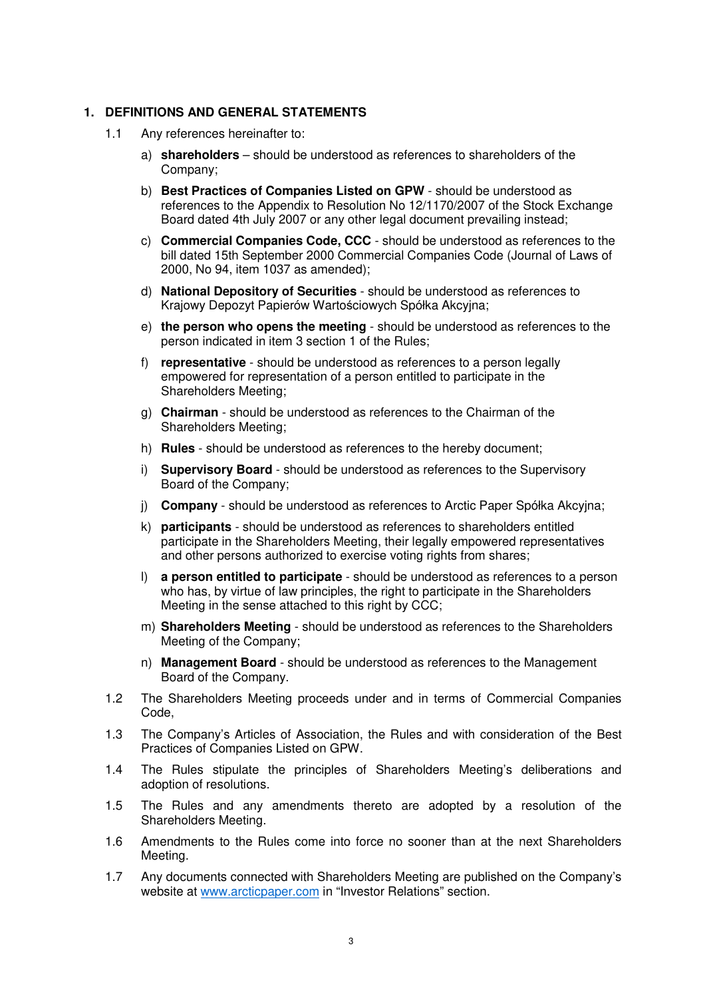#### **1. DEFINITIONS AND GENERAL STATEMENTS**

- 1.1 Any references hereinafter to:
	- a) **shareholders**  should be understood as references to shareholders of the Company;
	- b) **Best Practices of Companies Listed on GPW**  should be understood as references to the Appendix to Resolution No 12/1170/2007 of the Stock Exchange Board dated 4th July 2007 or any other legal document prevailing instead;
	- c) **Commercial Companies Code, CCC** should be understood as references to the bill dated 15th September 2000 Commercial Companies Code (Journal of Laws of 2000, No 94, item 1037 as amended);
	- d) **National Depository of Securities**  should be understood as references to Krajowy Depozyt Papierów Wartościowych Spółka Akcyjna;
	- e) **the person who opens the meeting**  should be understood as references to the person indicated in item 3 section 1 of the Rules;
	- f) **representative**  should be understood as references to a person legally empowered for representation of a person entitled to participate in the Shareholders Meeting;
	- g) **Chairman**  should be understood as references to the Chairman of the Shareholders Meeting;
	- h) **Rules**  should be understood as references to the hereby document;
	- i) **Supervisory Board**  should be understood as references to the Supervisory Board of the Company;
	- j) **Company**  should be understood as references to Arctic Paper Spółka Akcyjna;
	- k) **participants**  should be understood as references to shareholders entitled participate in the Shareholders Meeting, their legally empowered representatives and other persons authorized to exercise voting rights from shares;
	- l) **a person entitled to participate**  should be understood as references to a person who has, by virtue of law principles, the right to participate in the Shareholders Meeting in the sense attached to this right by CCC;
	- m) **Shareholders Meeting**  should be understood as references to the Shareholders Meeting of the Company;
	- n) **Management Board**  should be understood as references to the Management Board of the Company.
- 1.2 The Shareholders Meeting proceeds under and in terms of Commercial Companies Code,
- 1.3 The Company's Articles of Association, the Rules and with consideration of the Best Practices of Companies Listed on GPW.
- 1.4 The Rules stipulate the principles of Shareholders Meeting's deliberations and adoption of resolutions.
- 1.5 The Rules and any amendments thereto are adopted by a resolution of the Shareholders Meeting.
- 1.6 Amendments to the Rules come into force no sooner than at the next Shareholders Meeting.
- 1.7 Any documents connected with Shareholders Meeting are published on the Company's website at www.arcticpaper.com in "Investor Relations" section.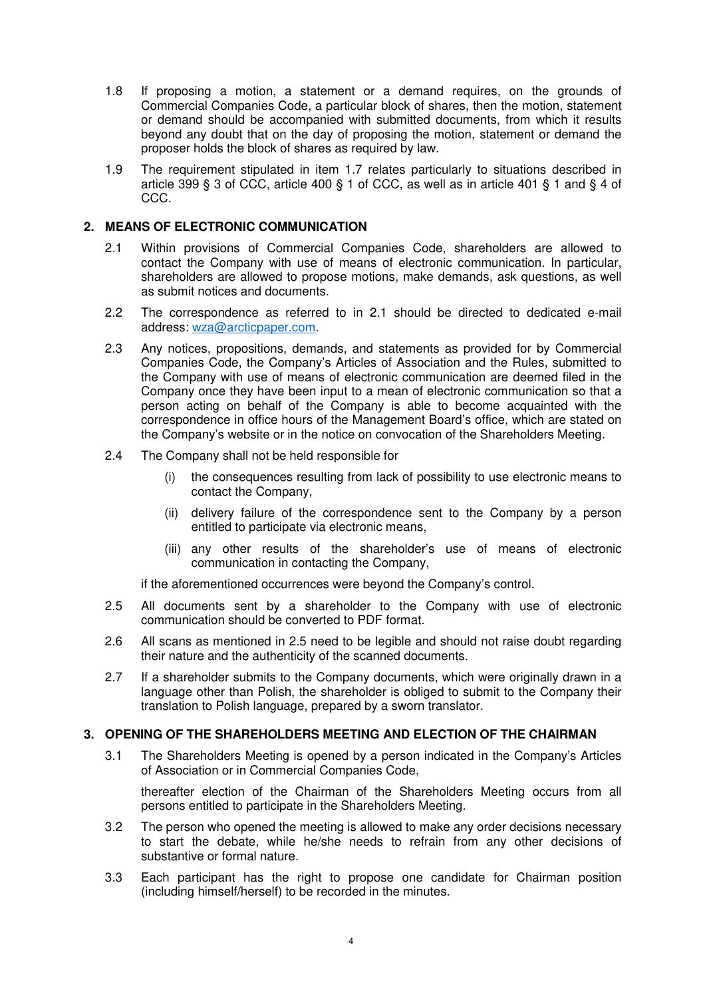- 1.8 If proposing a motion, a statement or a demand requires, on the grounds of Commercial Companies Code, a particular block of shares, then the motion, statement or demand should be accompanied with submitted documents, from which it results beyond any doubt that on the day of proposing the motion, statement or demand the proposer holds the block of shares as required by law.
- 1.9 The requirement stipulated in item 1.7 relates particularly to situations described in article 399 § 3 of CCC, article 400 § 1 of CCC, as well as in article 401 § 1 and § 4 of CCC.

## **2. MEANS OF ELECTRONIC COMMUNICATION**

- 2.1 Within provisions of Commercial Companies Code, shareholders are allowed to contact the Company with use of means of electronic communication. In particular, shareholders are allowed to propose motions, make demands, ask questions, as well as submit notices and documents.
- 2.2 The correspondence as referred to in 2.1 should be directed to dedicated e-mail address: wza@arcticpaper.com.
- 2.3 Any notices, propositions, demands, and statements as provided for by Commercial Companies Code, the Company's Articles of Association and the Rules, submitted to the Company with use of means of electronic communication are deemed filed in the Company once they have been input to a mean of electronic communication so that a person acting on behalf of the Company is able to become acquainted with the correspondence in office hours of the Management Board's office, which are stated on the Company's website or in the notice on convocation of the Shareholders Meeting.
- 2.4 The Company shall not be held responsible for
	- (i) the consequences resulting from lack of possibility to use electronic means to contact the Company,
	- (ii) delivery failure of the correspondence sent to the Company by a person entitled to participate via electronic means,
	- (iii) any other results of the shareholder's use of means of electronic communication in contacting the Company,

if the aforementioned occurrences were beyond the Company's control.

- 2.5 All documents sent by a shareholder to the Company with use of electronic communication should be converted to PDF format.
- 2.6 All scans as mentioned in 2.5 need to be legible and should not raise doubt regarding their nature and the authenticity of the scanned documents.
- 2.7 If a shareholder submits to the Company documents, which were originally drawn in a language other than Polish, the shareholder is obliged to submit to the Company their translation to Polish language, prepared by a sworn translator.

#### **3. OPENING OF THE SHAREHOLDERS MEETING AND ELECTION OF THE CHAIRMAN**

3.1 The Shareholders Meeting is opened by a person indicated in the Company's Articles of Association or in Commercial Companies Code,

thereafter election of the Chairman of the Shareholders Meeting occurs from all persons entitled to participate in the Shareholders Meeting.

- 3.2 The person who opened the meeting is allowed to make any order decisions necessary to start the debate, while he/she needs to refrain from any other decisions of substantive or formal nature.
- 3.3 Each participant has the right to propose one candidate for Chairman position (including himself/herself) to be recorded in the minutes.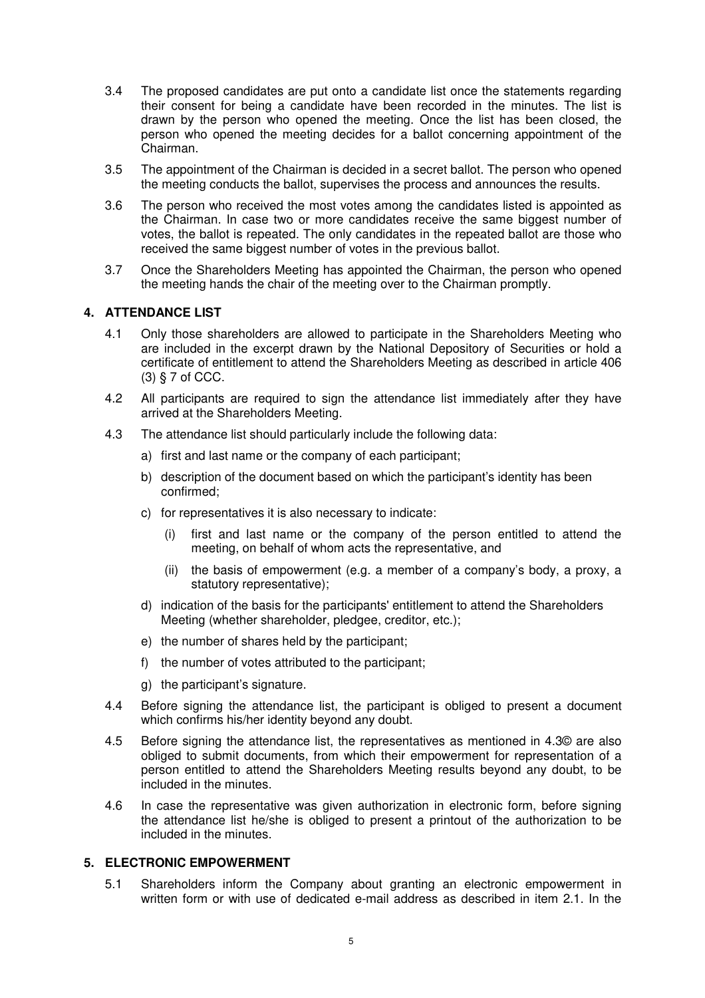- 3.4 The proposed candidates are put onto a candidate list once the statements regarding their consent for being a candidate have been recorded in the minutes. The list is drawn by the person who opened the meeting. Once the list has been closed, the person who opened the meeting decides for a ballot concerning appointment of the Chairman.
- 3.5 The appointment of the Chairman is decided in a secret ballot. The person who opened the meeting conducts the ballot, supervises the process and announces the results.
- 3.6 The person who received the most votes among the candidates listed is appointed as the Chairman. In case two or more candidates receive the same biggest number of votes, the ballot is repeated. The only candidates in the repeated ballot are those who received the same biggest number of votes in the previous ballot.
- 3.7 Once the Shareholders Meeting has appointed the Chairman, the person who opened the meeting hands the chair of the meeting over to the Chairman promptly.

#### **4. ATTENDANCE LIST**

- 4.1 Only those shareholders are allowed to participate in the Shareholders Meeting who are included in the excerpt drawn by the National Depository of Securities or hold a certificate of entitlement to attend the Shareholders Meeting as described in article 406 (3) § 7 of CCC.
- 4.2 All participants are required to sign the attendance list immediately after they have arrived at the Shareholders Meeting.
- 4.3 The attendance list should particularly include the following data:
	- a) first and last name or the company of each participant;
	- b) description of the document based on which the participant's identity has been confirmed;
	- c) for representatives it is also necessary to indicate:
		- (i) first and last name or the company of the person entitled to attend the meeting, on behalf of whom acts the representative, and
		- (ii) the basis of empowerment (e.g. a member of a company's body, a proxy, a statutory representative);
	- d) indication of the basis for the participants' entitlement to attend the Shareholders Meeting (whether shareholder, pledgee, creditor, etc.);
	- e) the number of shares held by the participant;
	- f) the number of votes attributed to the participant;
	- g) the participant's signature.
- 4.4 Before signing the attendance list, the participant is obliged to present a document which confirms his/her identity beyond any doubt.
- 4.5 Before signing the attendance list, the representatives as mentioned in 4.3© are also obliged to submit documents, from which their empowerment for representation of a person entitled to attend the Shareholders Meeting results beyond any doubt, to be included in the minutes.
- 4.6 In case the representative was given authorization in electronic form, before signing the attendance list he/she is obliged to present a printout of the authorization to be included in the minutes.

## **5. ELECTRONIC EMPOWERMENT**

5.1 Shareholders inform the Company about granting an electronic empowerment in written form or with use of dedicated e-mail address as described in item 2.1. In the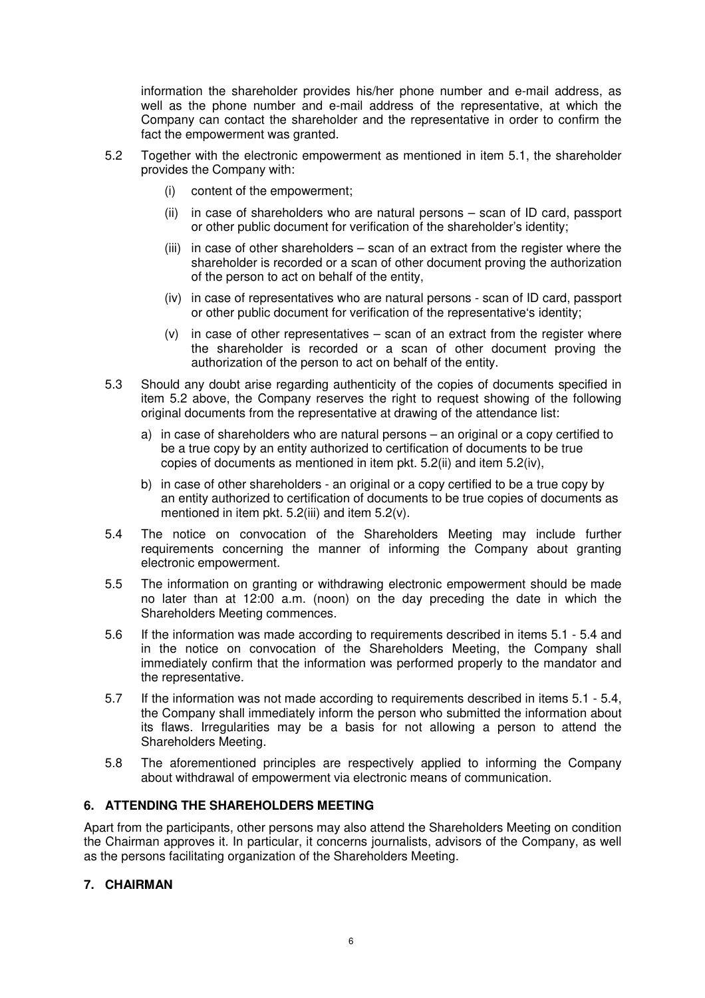information the shareholder provides his/her phone number and e-mail address, as well as the phone number and e-mail address of the representative, at which the Company can contact the shareholder and the representative in order to confirm the fact the empowerment was granted.

- 5.2 Together with the electronic empowerment as mentioned in item 5.1, the shareholder provides the Company with:
	- (i) content of the empowerment;
	- (ii) in case of shareholders who are natural persons scan of ID card, passport or other public document for verification of the shareholder's identity;
	- (iii) in case of other shareholders scan of an extract from the register where the shareholder is recorded or a scan of other document proving the authorization of the person to act on behalf of the entity,
	- (iv) in case of representatives who are natural persons scan of ID card, passport or other public document for verification of the representative's identity;
	- (v) in case of other representatives scan of an extract from the register where the shareholder is recorded or a scan of other document proving the authorization of the person to act on behalf of the entity.
- 5.3 Should any doubt arise regarding authenticity of the copies of documents specified in item 5.2 above, the Company reserves the right to request showing of the following original documents from the representative at drawing of the attendance list:
	- a) in case of shareholders who are natural persons an original or a copy certified to be a true copy by an entity authorized to certification of documents to be true copies of documents as mentioned in item pkt. 5.2(ii) and item 5.2(iv),
	- b) in case of other shareholders an original or a copy certified to be a true copy by an entity authorized to certification of documents to be true copies of documents as mentioned in item pkt. 5.2(iii) and item 5.2(v).
- 5.4 The notice on convocation of the Shareholders Meeting may include further requirements concerning the manner of informing the Company about granting electronic empowerment.
- 5.5 The information on granting or withdrawing electronic empowerment should be made no later than at 12:00 a.m. (noon) on the day preceding the date in which the Shareholders Meeting commences.
- 5.6 If the information was made according to requirements described in items 5.1 5.4 and in the notice on convocation of the Shareholders Meeting, the Company shall immediately confirm that the information was performed properly to the mandator and the representative.
- 5.7 If the information was not made according to requirements described in items 5.1 5.4, the Company shall immediately inform the person who submitted the information about its flaws. Irregularities may be a basis for not allowing a person to attend the Shareholders Meeting.
- 5.8 The aforementioned principles are respectively applied to informing the Company about withdrawal of empowerment via electronic means of communication.

## **6. ATTENDING THE SHAREHOLDERS MEETING**

Apart from the participants, other persons may also attend the Shareholders Meeting on condition the Chairman approves it. In particular, it concerns journalists, advisors of the Company, as well as the persons facilitating organization of the Shareholders Meeting.

## **7. CHAIRMAN**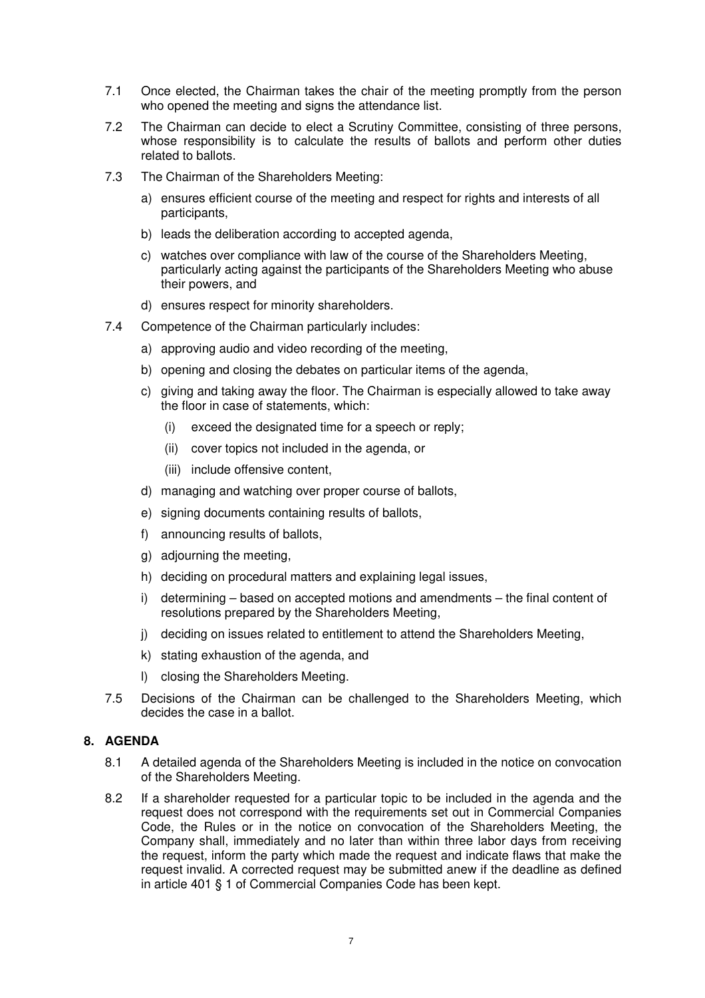- 7.1 Once elected, the Chairman takes the chair of the meeting promptly from the person who opened the meeting and signs the attendance list.
- 7.2 The Chairman can decide to elect a Scrutiny Committee, consisting of three persons, whose responsibility is to calculate the results of ballots and perform other duties related to ballots.
- 7.3 The Chairman of the Shareholders Meeting:
	- a) ensures efficient course of the meeting and respect for rights and interests of all participants,
	- b) leads the deliberation according to accepted agenda,
	- c) watches over compliance with law of the course of the Shareholders Meeting, particularly acting against the participants of the Shareholders Meeting who abuse their powers, and
	- d) ensures respect for minority shareholders.
- 7.4 Competence of the Chairman particularly includes:
	- a) approving audio and video recording of the meeting,
	- b) opening and closing the debates on particular items of the agenda,
	- c) giving and taking away the floor. The Chairman is especially allowed to take away the floor in case of statements, which:
		- (i) exceed the designated time for a speech or reply;
		- (ii) cover topics not included in the agenda, or
		- (iii) include offensive content,
	- d) managing and watching over proper course of ballots,
	- e) signing documents containing results of ballots,
	- f) announcing results of ballots,
	- g) adjourning the meeting,
	- h) deciding on procedural matters and explaining legal issues,
	- i) determining based on accepted motions and amendments the final content of resolutions prepared by the Shareholders Meeting,
	- j) deciding on issues related to entitlement to attend the Shareholders Meeting,
	- k) stating exhaustion of the agenda, and
	- l) closing the Shareholders Meeting.
- 7.5 Decisions of the Chairman can be challenged to the Shareholders Meeting, which decides the case in a ballot.

## **8. AGENDA**

- 8.1 A detailed agenda of the Shareholders Meeting is included in the notice on convocation of the Shareholders Meeting.
- 8.2 If a shareholder requested for a particular topic to be included in the agenda and the request does not correspond with the requirements set out in Commercial Companies Code, the Rules or in the notice on convocation of the Shareholders Meeting, the Company shall, immediately and no later than within three labor days from receiving the request, inform the party which made the request and indicate flaws that make the request invalid. A corrected request may be submitted anew if the deadline as defined in article 401 § 1 of Commercial Companies Code has been kept.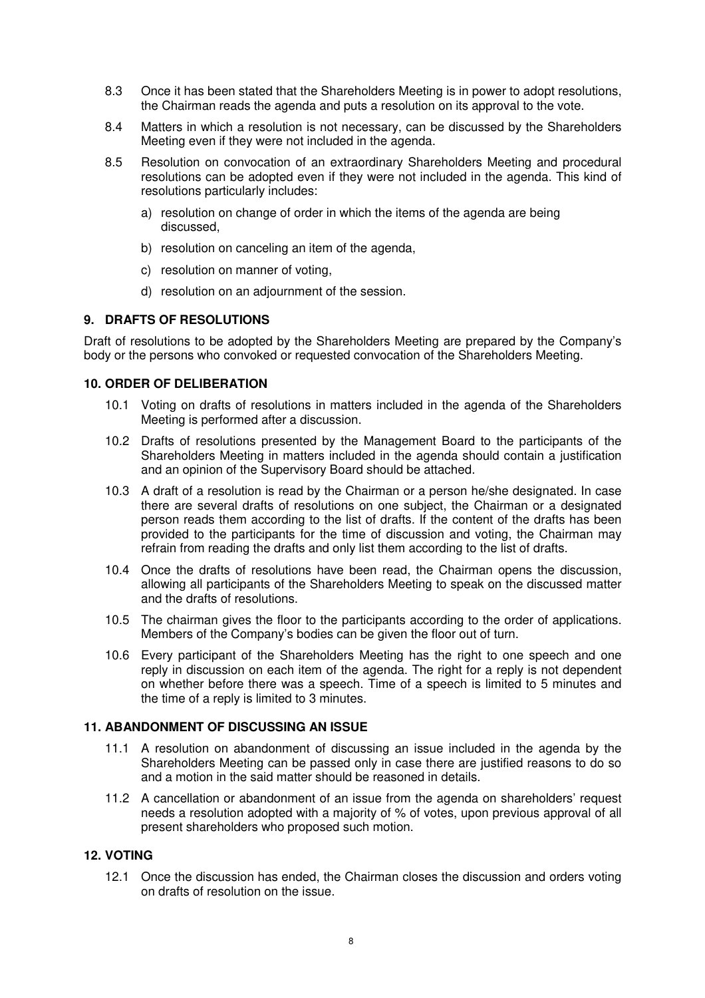- 8.3 Once it has been stated that the Shareholders Meeting is in power to adopt resolutions, the Chairman reads the agenda and puts a resolution on its approval to the vote.
- 8.4 Matters in which a resolution is not necessary, can be discussed by the Shareholders Meeting even if they were not included in the agenda.
- 8.5 Resolution on convocation of an extraordinary Shareholders Meeting and procedural resolutions can be adopted even if they were not included in the agenda. This kind of resolutions particularly includes:
	- a) resolution on change of order in which the items of the agenda are being discussed,
	- b) resolution on canceling an item of the agenda,
	- c) resolution on manner of voting,
	- d) resolution on an adjournment of the session.

#### **9. DRAFTS OF RESOLUTIONS**

Draft of resolutions to be adopted by the Shareholders Meeting are prepared by the Company's body or the persons who convoked or requested convocation of the Shareholders Meeting.

### **10. ORDER OF DELIBERATION**

- 10.1 Voting on drafts of resolutions in matters included in the agenda of the Shareholders Meeting is performed after a discussion.
- 10.2 Drafts of resolutions presented by the Management Board to the participants of the Shareholders Meeting in matters included in the agenda should contain a justification and an opinion of the Supervisory Board should be attached.
- 10.3 A draft of a resolution is read by the Chairman or a person he/she designated. In case there are several drafts of resolutions on one subject, the Chairman or a designated person reads them according to the list of drafts. If the content of the drafts has been provided to the participants for the time of discussion and voting, the Chairman may refrain from reading the drafts and only list them according to the list of drafts.
- 10.4 Once the drafts of resolutions have been read, the Chairman opens the discussion, allowing all participants of the Shareholders Meeting to speak on the discussed matter and the drafts of resolutions.
- 10.5 The chairman gives the floor to the participants according to the order of applications. Members of the Company's bodies can be given the floor out of turn.
- 10.6 Every participant of the Shareholders Meeting has the right to one speech and one reply in discussion on each item of the agenda. The right for a reply is not dependent on whether before there was a speech. Time of a speech is limited to 5 minutes and the time of a reply is limited to 3 minutes.

## **11. ABANDONMENT OF DISCUSSING AN ISSUE**

- 11.1 A resolution on abandonment of discussing an issue included in the agenda by the Shareholders Meeting can be passed only in case there are justified reasons to do so and a motion in the said matter should be reasoned in details.
- 11.2 A cancellation or abandonment of an issue from the agenda on shareholders' request needs a resolution adopted with a majority of % of votes, upon previous approval of all present shareholders who proposed such motion.

#### **12. VOTING**

12.1 Once the discussion has ended, the Chairman closes the discussion and orders voting on drafts of resolution on the issue.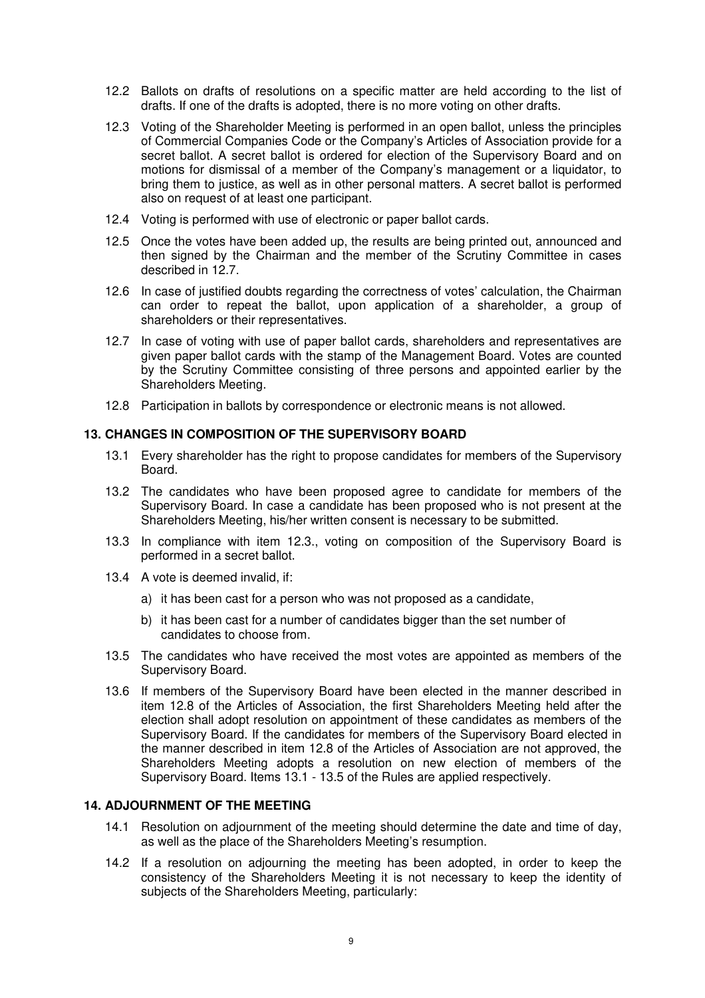- 12.2 Ballots on drafts of resolutions on a specific matter are held according to the list of drafts. If one of the drafts is adopted, there is no more voting on other drafts.
- 12.3 Voting of the Shareholder Meeting is performed in an open ballot, unless the principles of Commercial Companies Code or the Company's Articles of Association provide for a secret ballot. A secret ballot is ordered for election of the Supervisory Board and on motions for dismissal of a member of the Company's management or a liquidator, to bring them to justice, as well as in other personal matters. A secret ballot is performed also on request of at least one participant.
- 12.4 Voting is performed with use of electronic or paper ballot cards.
- 12.5 Once the votes have been added up, the results are being printed out, announced and then signed by the Chairman and the member of the Scrutiny Committee in cases described in 12.7.
- 12.6 In case of justified doubts regarding the correctness of votes' calculation, the Chairman can order to repeat the ballot, upon application of a shareholder, a group of shareholders or their representatives.
- 12.7 In case of voting with use of paper ballot cards, shareholders and representatives are given paper ballot cards with the stamp of the Management Board. Votes are counted by the Scrutiny Committee consisting of three persons and appointed earlier by the Shareholders Meeting.
- 12.8 Participation in ballots by correspondence or electronic means is not allowed.

### **13. CHANGES IN COMPOSITION OF THE SUPERVISORY BOARD**

- 13.1 Every shareholder has the right to propose candidates for members of the Supervisory Board.
- 13.2 The candidates who have been proposed agree to candidate for members of the Supervisory Board. In case a candidate has been proposed who is not present at the Shareholders Meeting, his/her written consent is necessary to be submitted.
- 13.3 In compliance with item 12.3., voting on composition of the Supervisory Board is performed in a secret ballot.
- 13.4 A vote is deemed invalid, if:
	- a) it has been cast for a person who was not proposed as a candidate,
	- b) it has been cast for a number of candidates bigger than the set number of candidates to choose from.
- 13.5 The candidates who have received the most votes are appointed as members of the Supervisory Board.
- 13.6 If members of the Supervisory Board have been elected in the manner described in item 12.8 of the Articles of Association, the first Shareholders Meeting held after the election shall adopt resolution on appointment of these candidates as members of the Supervisory Board. If the candidates for members of the Supervisory Board elected in the manner described in item 12.8 of the Articles of Association are not approved, the Shareholders Meeting adopts a resolution on new election of members of the Supervisory Board. Items 13.1 - 13.5 of the Rules are applied respectively.

#### **14. ADJOURNMENT OF THE MEETING**

- 14.1 Resolution on adjournment of the meeting should determine the date and time of day, as well as the place of the Shareholders Meeting's resumption.
- 14.2 If a resolution on adjourning the meeting has been adopted, in order to keep the consistency of the Shareholders Meeting it is not necessary to keep the identity of subjects of the Shareholders Meeting, particularly: